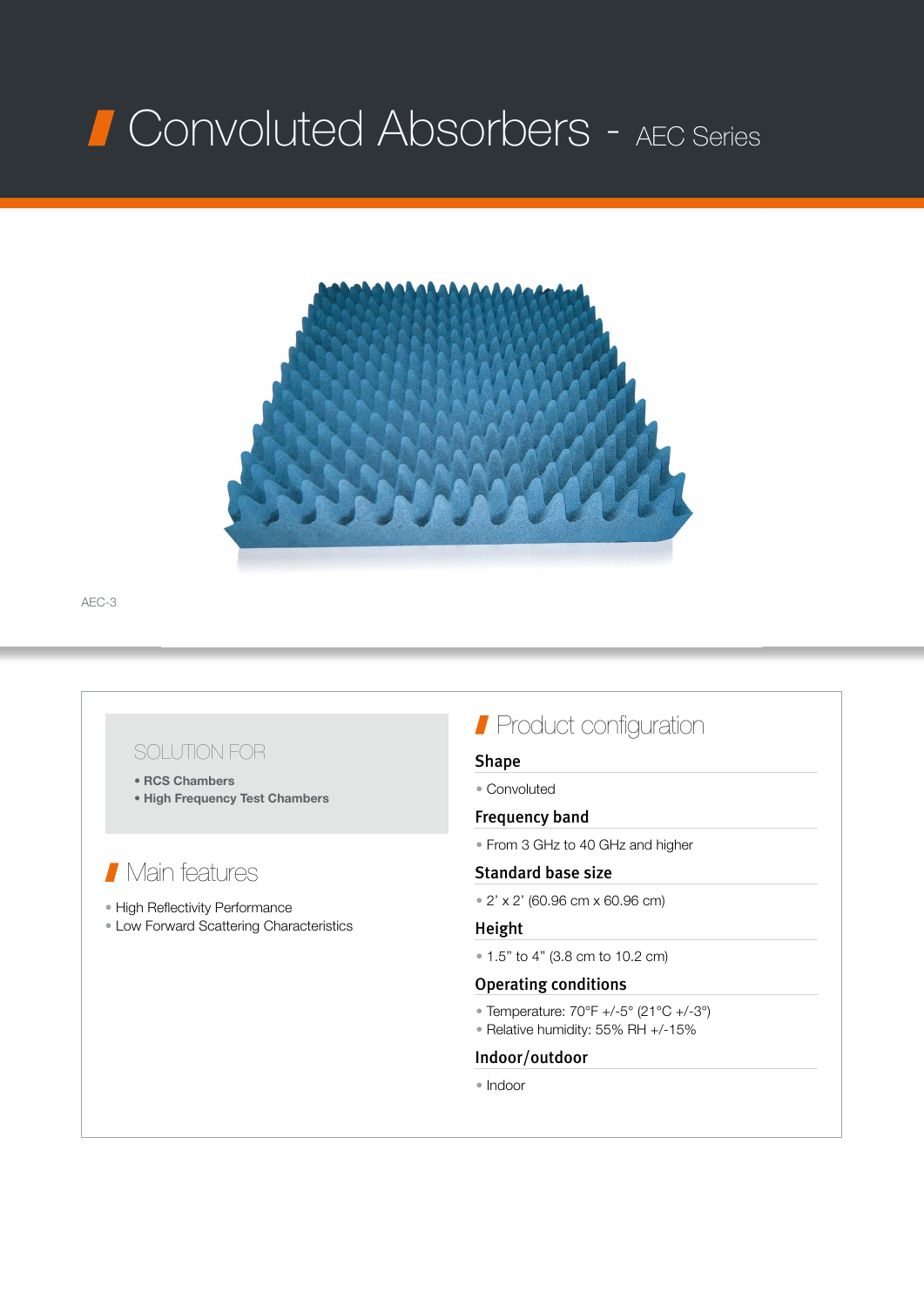# Convoluted Absorbers - AEC Series



AEC-3

### SOLUTION FOR

- RCS Chambers
- High Frequency Test Chambers

## Main features

- High Reflectivity Performance
- Low Forward Scattering Characteristics

## **Product configuration**

#### Shape

• Convoluted

#### Frequency band

• From 3 GHz to 40 GHz and higher

#### Standard base size

• 2' x 2' (60.96 cm x 60.96 cm)

#### Height

• 1.5'' to 4'' (3.8 cm to 10.2 cm)

#### Operating conditions

- Temperature:  $70^{\circ}F +/-5^{\circ} (21^{\circ}C +/-3^{\circ})$
- Relative humidity: 55% RH +/-15%

#### Indoor/outdoor

• Indoor